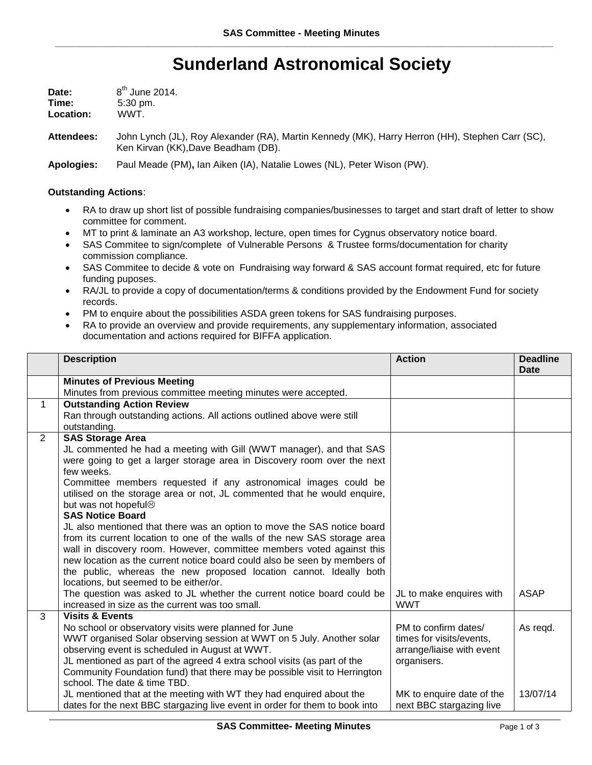## **Sunderland Astronomical Society**

| Date:     | $8th$ June 2014.    |
|-----------|---------------------|
| Time:     | $5:30 \text{ pm}$ . |
| Location: | WWT.                |

**Attendees:** John Lynch (JL), Roy Alexander (RA), Martin Kennedy (MK), Harry Herron (HH), Stephen Carr (SC), Ken Kirvan (KK),Dave Beadham (DB).

**Apologies:** Paul Meade (PM)**,** Ian Aiken (IA), Natalie Lowes (NL), Peter Wison (PW).

## **Outstanding Actions**:

- RA to draw up short list of possible fundraising companies/businesses to target and start draft of letter to show committee for comment.
- MT to print & laminate an A3 workshop, lecture, open times for Cygnus observatory notice board.
- SAS Commitee to sign/complete of Vulnerable Persons & Trustee forms/documentation for charity commission compliance.
- SAS Commitee to decide & vote on Fundraising way forward & SAS account format required, etc for future funding puposes.
- RA/JL to provide a copy of documentation/terms & conditions provided by the Endowment Fund for society records.
- PM to enquire about the possibilities ASDA green tokens for SAS fundraising purposes.
- RA to provide an overview and provide requirements, any supplementary information, associated documentation and actions required for BIFFA application.

|                | <b>Description</b>                                                                                                                          | <b>Action</b>             | <b>Deadline</b><br>Date |
|----------------|---------------------------------------------------------------------------------------------------------------------------------------------|---------------------------|-------------------------|
|                | <b>Minutes of Previous Meeting</b>                                                                                                          |                           |                         |
|                | Minutes from previous committee meeting minutes were accepted.                                                                              |                           |                         |
| $\mathbf{1}$   | <b>Outstanding Action Review</b>                                                                                                            |                           |                         |
|                | Ran through outstanding actions. All actions outlined above were still                                                                      |                           |                         |
|                | outstanding.                                                                                                                                |                           |                         |
| $\overline{2}$ | <b>SAS Storage Area</b>                                                                                                                     |                           |                         |
|                | JL commented he had a meeting with Gill (WWT manager), and that SAS                                                                         |                           |                         |
|                | were going to get a larger storage area in Discovery room over the next                                                                     |                           |                         |
|                | few weeks.                                                                                                                                  |                           |                         |
|                | Committee members requested if any astronomical images could be<br>utilised on the storage area or not, JL commented that he would enquire, |                           |                         |
|                | but was not hopeful <sup>®</sup>                                                                                                            |                           |                         |
|                | <b>SAS Notice Board</b>                                                                                                                     |                           |                         |
|                | JL also mentioned that there was an option to move the SAS notice board                                                                     |                           |                         |
|                | from its current location to one of the walls of the new SAS storage area                                                                   |                           |                         |
|                | wall in discovery room. However, committee members voted against this                                                                       |                           |                         |
|                | new location as the current notice board could also be seen by members of                                                                   |                           |                         |
|                | the public, whereas the new proposed location cannot. Ideally both                                                                          |                           |                         |
|                | locations, but seemed to be either/or.                                                                                                      |                           |                         |
|                | The question was asked to JL whether the current notice board could be                                                                      | JL to make enquires with  | <b>ASAP</b>             |
| 3              | increased in size as the current was too small.<br><b>Visits &amp; Events</b>                                                               | <b>WWT</b>                |                         |
|                | No school or observatory visits were planned for June                                                                                       | PM to confirm dates/      | As regd.                |
|                | WWT organised Solar observing session at WWT on 5 July. Another solar                                                                       | times for visits/events,  |                         |
|                | observing event is scheduled in August at WWT.                                                                                              | arrange/liaise with event |                         |
|                | JL mentioned as part of the agreed 4 extra school visits (as part of the                                                                    | organisers.               |                         |
|                | Community Foundation fund) that there may be possible visit to Herrington                                                                   |                           |                         |
|                | school. The date & time TBD.                                                                                                                |                           |                         |
|                | JL mentioned that at the meeting with WT they had enquired about the                                                                        | MK to enquire date of the | 13/07/14                |
|                | dates for the next BBC stargazing live event in order for them to book into                                                                 | next BBC stargazing live  |                         |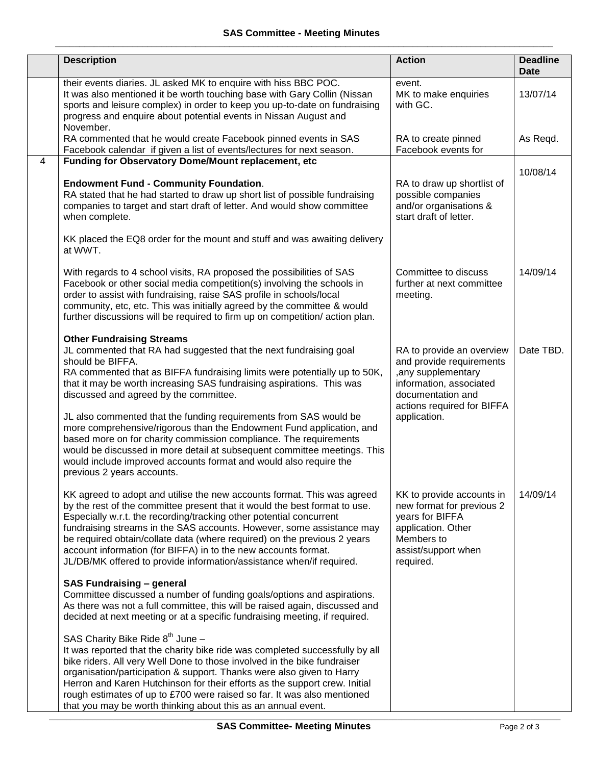|   | <b>Description</b>                                                                                                                                                                                                                                                                                                                                                                                                                                                                                                                                                                                                                                                                                                         | <b>Action</b>                                                                                                                                                              | <b>Deadline</b><br><b>Date</b> |
|---|----------------------------------------------------------------------------------------------------------------------------------------------------------------------------------------------------------------------------------------------------------------------------------------------------------------------------------------------------------------------------------------------------------------------------------------------------------------------------------------------------------------------------------------------------------------------------------------------------------------------------------------------------------------------------------------------------------------------------|----------------------------------------------------------------------------------------------------------------------------------------------------------------------------|--------------------------------|
|   | their events diaries. JL asked MK to enquire with hiss BBC POC.<br>It was also mentioned it be worth touching base with Gary Collin (Nissan<br>sports and leisure complex) in order to keep you up-to-date on fundraising<br>progress and enquire about potential events in Nissan August and                                                                                                                                                                                                                                                                                                                                                                                                                              | event.<br>MK to make enquiries<br>with GC.                                                                                                                                 | 13/07/14                       |
|   | November.<br>RA commented that he would create Facebook pinned events in SAS<br>Facebook calendar if given a list of events/lectures for next season.                                                                                                                                                                                                                                                                                                                                                                                                                                                                                                                                                                      | RA to create pinned<br>Facebook events for                                                                                                                                 | As Regd.                       |
| 4 | Funding for Observatory Dome/Mount replacement, etc<br><b>Endowment Fund - Community Foundation.</b><br>RA stated that he had started to draw up short list of possible fundraising<br>companies to target and start draft of letter. And would show committee<br>when complete.<br>KK placed the EQ8 order for the mount and stuff and was awaiting delivery<br>at WWT.                                                                                                                                                                                                                                                                                                                                                   | RA to draw up shortlist of<br>possible companies<br>and/or organisations &<br>start draft of letter.                                                                       | 10/08/14                       |
|   | With regards to 4 school visits, RA proposed the possibilities of SAS<br>Facebook or other social media competition(s) involving the schools in<br>order to assist with fundraising, raise SAS profile in schools/local<br>community, etc, etc. This was initially agreed by the committee & would<br>further discussions will be required to firm up on competition/action plan.                                                                                                                                                                                                                                                                                                                                          | Committee to discuss<br>further at next committee<br>meeting.                                                                                                              | 14/09/14                       |
|   | <b>Other Fundraising Streams</b><br>JL commented that RA had suggested that the next fundraising goal<br>should be BIFFA.<br>RA commented that as BIFFA fundraising limits were potentially up to 50K,<br>that it may be worth increasing SAS fundraising aspirations. This was<br>discussed and agreed by the committee.<br>JL also commented that the funding requirements from SAS would be<br>more comprehensive/rigorous than the Endowment Fund application, and<br>based more on for charity commission compliance. The requirements<br>would be discussed in more detail at subsequent committee meetings. This<br>would include improved accounts format and would also require the<br>previous 2 years accounts. | RA to provide an overview<br>and provide requirements<br>, any supplementary<br>information, associated<br>documentation and<br>actions required for BIFFA<br>application. | Date TBD.                      |
|   | KK agreed to adopt and utilise the new accounts format. This was agreed<br>by the rest of the committee present that it would the best format to use.<br>Especially w.r.t. the recording/tracking other potential concurrent<br>fundraising streams in the SAS accounts. However, some assistance may<br>be required obtain/collate data (where required) on the previous 2 years<br>account information (for BIFFA) in to the new accounts format.<br>JL/DB/MK offered to provide information/assistance when/if required.                                                                                                                                                                                                | KK to provide accounts in<br>new format for previous 2<br>years for BIFFA<br>application. Other<br>Members to<br>assist/support when<br>required.                          | 14/09/14                       |
|   | <b>SAS Fundraising - general</b><br>Committee discussed a number of funding goals/options and aspirations.<br>As there was not a full committee, this will be raised again, discussed and<br>decided at next meeting or at a specific fundraising meeting, if required.                                                                                                                                                                                                                                                                                                                                                                                                                                                    |                                                                                                                                                                            |                                |
|   | SAS Charity Bike Ride 8 <sup>th</sup> June -<br>It was reported that the charity bike ride was completed successfully by all<br>bike riders. All very Well Done to those involved in the bike fundraiser<br>organisation/participation & support. Thanks were also given to Harry<br>Herron and Karen Hutchinson for their efforts as the support crew. Initial<br>rough estimates of up to £700 were raised so far. It was also mentioned<br>that you may be worth thinking about this as an annual event.                                                                                                                                                                                                                |                                                                                                                                                                            |                                |

\_\_\_\_\_\_\_\_\_\_\_\_\_\_\_\_\_\_\_\_\_\_\_\_\_\_\_\_\_\_\_\_\_\_\_\_\_\_\_\_\_\_\_\_\_\_\_\_\_\_\_\_\_\_\_\_\_\_\_\_\_\_\_\_\_\_\_\_\_\_\_\_\_\_\_\_\_\_\_\_\_\_\_\_\_\_\_\_\_\_\_\_\_\_\_\_\_\_\_\_\_\_\_\_\_\_\_\_\_\_\_\_\_\_\_\_\_\_\_